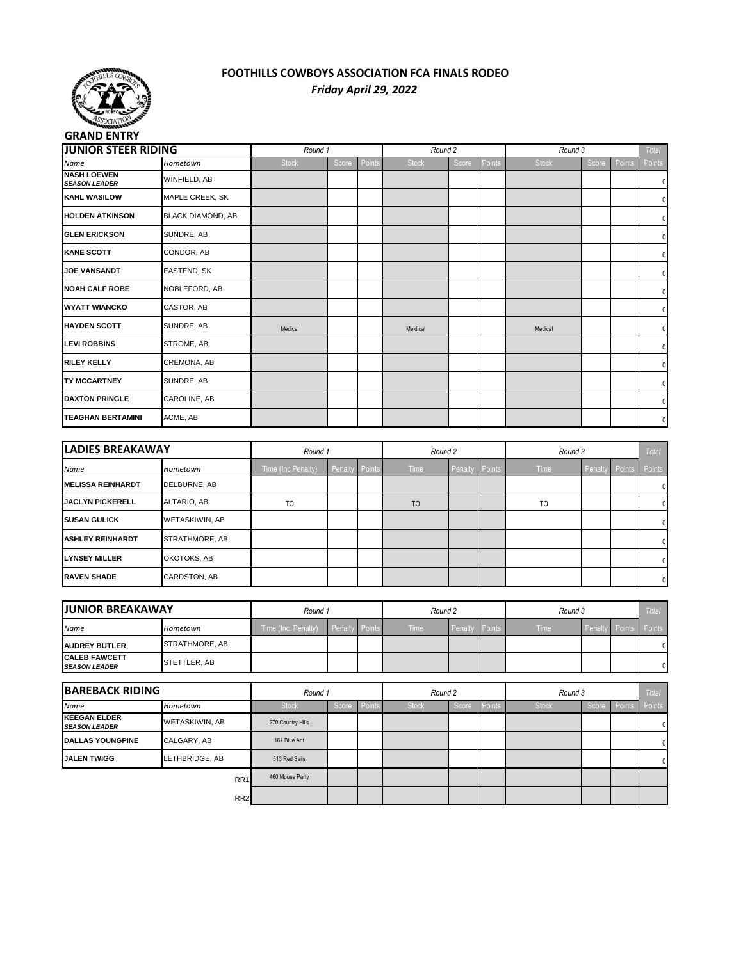

## **FOOTHILLS COWBOYS ASSOCIATION FCA FINALS RODEO** *Friday April 29, 2022*

| <b>GRAND ENTRY</b>                         |                          |                    |         |        |                |         |        |              |         |        |        |
|--------------------------------------------|--------------------------|--------------------|---------|--------|----------------|---------|--------|--------------|---------|--------|--------|
| <b>JUNIOR STEER RIDING</b>                 |                          | Round 1            |         |        | Round 2        |         |        | Round 3      |         |        | Total  |
| Name                                       | Hometown                 | <b>Stock</b>       | Score   | Points | <b>Stock</b>   | Score   | Points | <b>Stock</b> | Score   | Points | Points |
| <b>NASH LOEWEN</b><br><b>SEASON LEADER</b> | WINFIELD, AB             |                    |         |        |                |         |        |              |         |        | 0      |
| <b>KAHL WASILOW</b>                        | MAPLE CREEK, SK          |                    |         |        |                |         |        |              |         |        | 0      |
| <b>HOLDEN ATKINSON</b>                     | <b>BLACK DIAMOND, AB</b> |                    |         |        |                |         |        |              |         |        | 0      |
| <b>GLEN ERICKSON</b>                       | SUNDRE, AB               |                    |         |        |                |         |        |              |         |        | 0      |
| <b>KANE SCOTT</b>                          | CONDOR, AB               |                    |         |        |                |         |        |              |         |        | 0      |
| <b>JOE VANSANDT</b>                        | EASTEND, SK              |                    |         |        |                |         |        |              |         |        | 0      |
| <b>NOAH CALF ROBE</b>                      | NOBLEFORD, AB            |                    |         |        |                |         |        |              |         |        | 0      |
| <b>WYATT WIANCKO</b>                       | CASTOR, AB               |                    |         |        |                |         |        |              |         |        | 0      |
| <b>HAYDEN SCOTT</b>                        | SUNDRE, AB               | Medical            |         |        | Meidical       |         |        | Medical      |         |        | 0      |
| <b>LEVI ROBBINS</b>                        | STROME, AB               |                    |         |        |                |         |        |              |         |        | 0      |
| <b>RILEY KELLY</b>                         | CREMONA, AB              |                    |         |        |                |         |        |              |         |        | 0      |
| <b>TY MCCARTNEY</b>                        | SUNDRE, AB               |                    |         |        |                |         |        |              |         |        | 0      |
| <b>DAXTON PRINGLE</b>                      | CAROLINE, AB             |                    |         |        |                |         |        |              |         |        | 0      |
| <b>TEAGHAN BERTAMINI</b>                   | ACME, AB                 |                    |         |        |                |         |        |              |         |        | 0      |
|                                            |                          |                    |         |        |                |         |        |              |         |        |        |
| <b>LADIES BREAKAWAY</b>                    |                          | Round 1            |         |        | Round 2        |         |        | Round 3      |         |        | Total  |
| Name                                       | Hometown                 | Time (Inc Penalty) | Penalty | Points | Time           | Penalty | Points | Time         | Penalty | Points | Points |
| <b>MELISSA REINHARDT</b>                   | DELBURNE, AB             |                    |         |        |                |         |        |              |         |        | 0      |
| <b>JACLYN PICKERELL</b>                    | ALTARIO, AB              | T <sub>O</sub>     |         |        | T <sub>O</sub> |         |        | TO           |         |        | 0      |
|                                            |                          |                    |         |        |                |         |        |              |         |        |        |

| <b>SUSAN GULICK</b>     | WETASKIWIN, AB |  |  |  |  | $\mathbf 0$ |
|-------------------------|----------------|--|--|--|--|-------------|
| <b>ASHLEY REINHARDT</b> | STRATHMORE, AB |  |  |  |  | $\mathbf 0$ |
| <b>LYNSEY MILLER</b>    | OKOTOKS, AB    |  |  |  |  | $\mathbf 0$ |
| <b>RAVEN SHADE</b>      | CARDSTON, AB   |  |  |  |  | $\mathbf 0$ |

| <b>JJUNIOR BREAKAWAY</b>                     |                       | Round 1                            |  |  | Round 2 |                |  | Round 3     |                    |  | Total  |
|----------------------------------------------|-----------------------|------------------------------------|--|--|---------|----------------|--|-------------|--------------------|--|--------|
| Name                                         | Hometown              | Time (Inc. Penalty) Penalty Points |  |  | Time    | Penalty Points |  | <b>Time</b> | <b>I</b> Penaltv I |  | Points |
| <b>AUDREY BUTLER</b>                         | <b>STRATHMORE, AB</b> |                                    |  |  |         |                |  |             |                    |  | n١     |
| <b>CALEB FAWCETT</b><br><b>SEASON LEADER</b> | STETTLER, AB          |                                    |  |  |         |                |  |             |                    |  | n١     |

| <b>BAREBACK RIDING</b>                      |                 |                   | Round 1 |        |              | Round 2 |        |              | Round 3 |       |        |  |
|---------------------------------------------|-----------------|-------------------|---------|--------|--------------|---------|--------|--------------|---------|-------|--------|--|
| Name                                        | Hometown        | <b>Stock</b>      | Score   | Points | <b>Stock</b> | Score   | Points | <b>Stock</b> | Score   | Point | Points |  |
| <b>KEEGAN ELDER</b><br><b>SEASON LEADER</b> | WETASKIWIN, AB  | 270 Country Hills |         |        |              |         |        |              |         |       |        |  |
| <b>DALLAS YOUNGPINE</b>                     | CALGARY, AB     | 161 Blue Ant      |         |        |              |         |        |              |         |       |        |  |
| <b>JALEN TWIGG</b>                          | LETHBRIDGE, AB  | 513 Red Sails     |         |        |              |         |        |              |         |       |        |  |
|                                             | RR <sub>1</sub> | 460 Mouse Party   |         |        |              |         |        |              |         |       |        |  |
|                                             | RR <sub>2</sub> |                   |         |        |              |         |        |              |         |       |        |  |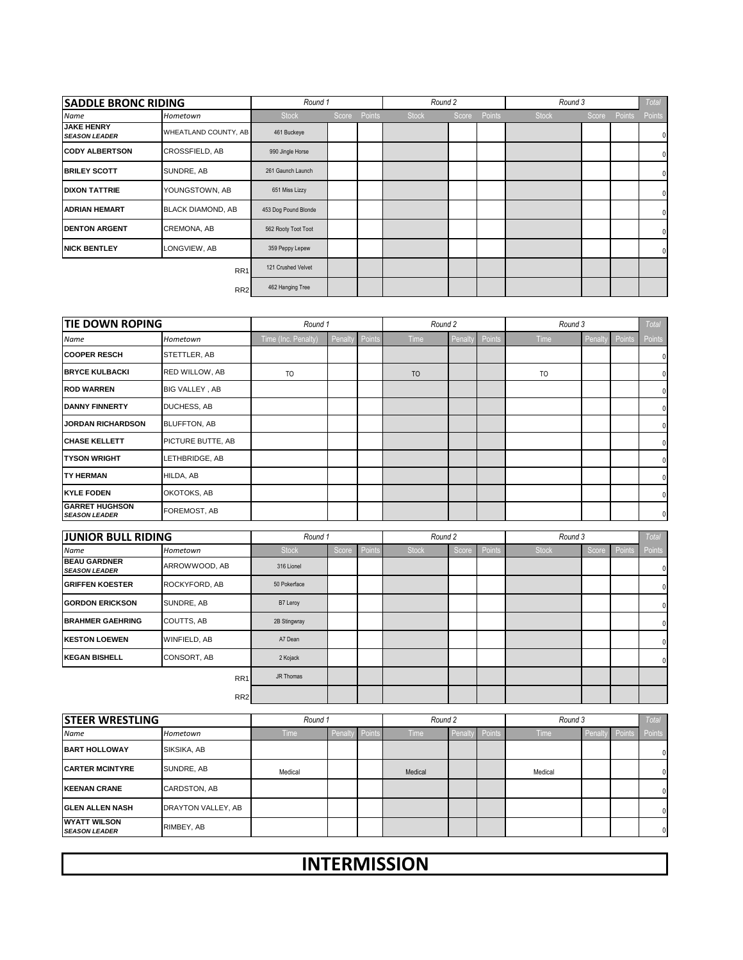|                                           | <b>SADDLE BRONC RIDING</b> |                      | Round 1 |        | Round 2      |       |        | Round 3      |  |              | Total        |
|-------------------------------------------|----------------------------|----------------------|---------|--------|--------------|-------|--------|--------------|--|--------------|--------------|
| Name                                      | Hometown                   | <b>Stock</b>         | Score   | Points | <b>Stock</b> | Score | Points | <b>Stock</b> |  | Score Points | Points       |
| <b>JAKE HENRY</b><br><b>SEASON LEADER</b> | WHEATLAND COUNTY, AB       | 461 Buckeye          |         |        |              |       |        |              |  |              | 0            |
| <b>CODY ALBERTSON</b>                     | <b>CROSSFIELD, AB</b>      | 990 Jingle Horse     |         |        |              |       |        |              |  |              | 0            |
| <b>BRILEY SCOTT</b>                       | SUNDRE, AB                 | 261 Gaunch Launch    |         |        |              |       |        |              |  |              | 0            |
| <b>DIXON TATTRIE</b>                      | YOUNGSTOWN, AB             | 651 Miss Lizzy       |         |        |              |       |        |              |  |              | <sup>0</sup> |
| <b>ADRIAN HEMART</b>                      | <b>BLACK DIAMOND, AB</b>   | 453 Dog Pound Blonde |         |        |              |       |        |              |  |              | 0            |
| <b>DENTON ARGENT</b>                      | CREMONA, AB                | 562 Rooty Toot Toot  |         |        |              |       |        |              |  |              | 0            |
| <b>NICK BENTLEY</b>                       | LONGVIEW, AB               | 359 Peppy Lepew      |         |        |              |       |        |              |  |              | 0            |
|                                           | RR <sub>1</sub>            | 121 Crushed Velvet   |         |        |              |       |        |              |  |              |              |
|                                           | RR <sub>2</sub>            | 462 Hanging Tree     |         |        |              |       |        |              |  |              |              |

| <b>TIE DOWN ROPING</b>                        |                     | Round 1             |         |          | Round 2 |        |        | Round 3 |        |        | Total        |
|-----------------------------------------------|---------------------|---------------------|---------|----------|---------|--------|--------|---------|--------|--------|--------------|
| Name                                          | Hometown            | Time (Inc. Penalty) | Penalty | / Points | Time    | Penalt | Points | Time    | Penalt | Points | Points       |
| <b>COOPER RESCH</b>                           | STETTLER, AB        |                     |         |          |         |        |        |         |        |        | $\mathbf{0}$ |
| <b>BRYCE KULBACKI</b>                         | RED WILLOW, AB      | TO                  |         |          | TO      |        |        | TO      |        |        | $\Omega$     |
| <b>ROD WARREN</b>                             | BIG VALLEY, AB      |                     |         |          |         |        |        |         |        |        | $\Omega$     |
| <b>DANNY FINNERTY</b>                         | DUCHESS, AB         |                     |         |          |         |        |        |         |        |        |              |
| <b>JORDAN RICHARDSON</b>                      | <b>BLUFFTON, AB</b> |                     |         |          |         |        |        |         |        |        | $\Omega$     |
| <b>CHASE KELLETT</b>                          | PICTURE BUTTE, AB   |                     |         |          |         |        |        |         |        |        | $\Omega$     |
| <b>TYSON WRIGHT</b>                           | LETHBRIDGE, AB      |                     |         |          |         |        |        |         |        |        | 0            |
| <b>TY HERMAN</b>                              | HILDA, AB           |                     |         |          |         |        |        |         |        |        | $\Omega$     |
| <b>KYLE FODEN</b>                             | OKOTOKS, AB         |                     |         |          |         |        |        |         |        |        | $\Omega$     |
| <b>GARRET HUGHSON</b><br><b>SEASON LEADER</b> | FOREMOST, AB        |                     |         |          |         |        |        |         |        |        | $\mathbf{0}$ |

| <b>JUNIOR BULL RIDING</b>                   |                 | Round 1      |       |        | Round 2      |       |        | Round 3      |       |        | Total    |
|---------------------------------------------|-----------------|--------------|-------|--------|--------------|-------|--------|--------------|-------|--------|----------|
| Name                                        | Hometown        | <b>Stock</b> | Score | Points | <b>Stock</b> | Score | Points | <b>Stock</b> | Score | Points | Points   |
| <b>BEAU GARDNER</b><br><b>SEASON LEADER</b> | ARROWWOOD, AB   | 316 Lionel   |       |        |              |       |        |              |       |        | 0        |
| <b>GRIFFEN KOESTER</b>                      | ROCKYFORD, AB   | 50 Pokerface |       |        |              |       |        |              |       |        | $\Omega$ |
| <b>GORDON ERICKSON</b>                      | SUNDRE, AB      | B7 Leroy     |       |        |              |       |        |              |       |        | 0        |
| <b>BRAHMER GAEHRING</b>                     | COUTTS, AB      | 2B Stingwray |       |        |              |       |        |              |       |        | 0        |
| <b>KESTON LOEWEN</b>                        | WINFIELD, AB    | A7 Dean      |       |        |              |       |        |              |       |        | 0        |
| <b>KEGAN BISHELL</b>                        | CONSORT, AB     | 2 Kojack     |       |        |              |       |        |              |       |        | $\Omega$ |
|                                             | RR <sub>1</sub> | JR Thomas    |       |        |              |       |        |              |       |        |          |
| RR <sub>2</sub>                             |                 |              |       |        |              |       |        |              |       |        |          |

| <b>STEER WRESTLING</b>                      |                    | Round 1     |        |        | Round 2     |                |  | Round 3     | Total   |        |        |
|---------------------------------------------|--------------------|-------------|--------|--------|-------------|----------------|--|-------------|---------|--------|--------|
| <b>Name</b>                                 | Hometown           | <b>Time</b> | Penalt | Points | <b>Time</b> | Penalty Points |  | <b>Time</b> | Penalty | Points | Points |
| <b>BART HOLLOWAY</b>                        | SIKSIKA, AB        |             |        |        |             |                |  |             |         |        | 0      |
| <b>CARTER MCINTYRE</b>                      | SUNDRE, AB         | Medical     |        |        | Medical     |                |  | Medical     |         |        | 0      |
| <b>IKEENAN CRANE</b>                        | CARDSTON, AB       |             |        |        |             |                |  |             |         |        | 0      |
| <b>GLEN ALLEN NASH</b>                      | DRAYTON VALLEY, AB |             |        |        |             |                |  |             |         |        | n      |
| <b>WYATT WILSON</b><br><b>SEASON LEADER</b> | RIMBEY, AB         |             |        |        |             |                |  |             |         |        |        |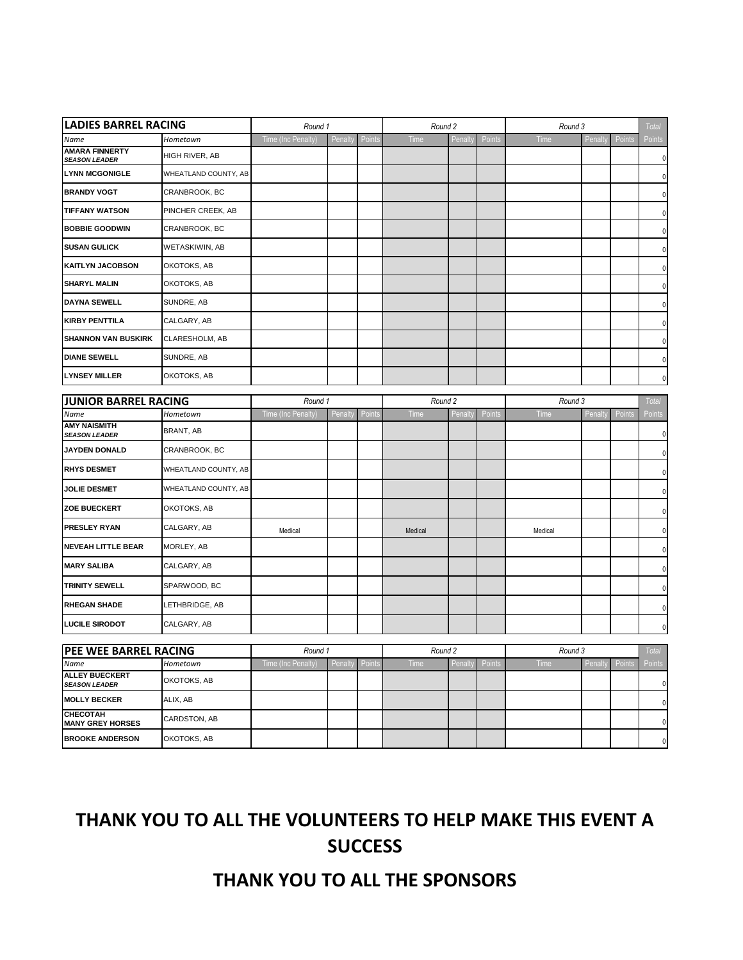| <b>LADIES BARREL RACING</b>                       |                         | Round 1            |                |        | Round 2 |                |        | Round 3 |        |                       | <b>Total</b>   |
|---------------------------------------------------|-------------------------|--------------------|----------------|--------|---------|----------------|--------|---------|--------|-----------------------|----------------|
| Name                                              | Hometown                | Time (Inc Penalty) | Penalty        | Points | Time    | Penalt         | Points | Time    | Penalt | Points                | Points         |
| <b>AMARA FINNERTY</b><br><b>SEASON LEADER</b>     | HIGH RIVER, AB          |                    |                |        |         |                |        |         |        |                       | 0              |
| <b>LYNN MCGONIGLE</b>                             | WHEATLAND COUNTY, AB    |                    |                |        |         |                |        |         |        |                       | $\theta$       |
| <b>BRANDY VOGT</b>                                | CRANBROOK, BC           |                    |                |        |         |                |        |         |        |                       |                |
| <b>TIFFANY WATSON</b>                             | PINCHER CREEK, AB       |                    |                |        |         |                |        |         |        |                       | 0              |
| <b>BOBBIE GOODWIN</b>                             | CRANBROOK, BC           |                    |                |        |         |                |        |         |        |                       |                |
| <b>SUSAN GULICK</b>                               | WETASKIWIN, AB          |                    |                |        |         |                |        |         |        |                       |                |
| <b>KAITLYN JACOBSON</b>                           | OKOTOKS, AB             |                    |                |        |         |                |        |         |        |                       | 0              |
| <b>SHARYL MALIN</b>                               | OKOTOKS, AB             |                    |                |        |         |                |        |         |        |                       | 0              |
| <b>DAYNA SEWELL</b>                               | SUNDRE, AB              |                    |                |        |         |                |        |         |        |                       | 0              |
| <b>KIRBY PENTTILA</b>                             | CALGARY, AB             |                    |                |        |         |                |        |         |        |                       | $\Omega$       |
| <b>SHANNON VAN BUSKIRK</b>                        | CLARESHOLM, AB          |                    |                |        |         |                |        |         |        |                       | 0              |
| <b>DIANE SEWELL</b>                               | SUNDRE, AB              |                    |                |        |         |                |        |         |        |                       | $\Omega$       |
| <b>LYNSEY MILLER</b>                              | OKOTOKS, AB             |                    |                |        |         |                |        |         |        |                       | 0              |
| <b>JUNIOR BARREL RACING</b>                       |                         | Round 1            |                |        | Round 2 |                |        | Round 3 |        |                       | <b>Total</b>   |
| Name                                              | Hometown                | Time (Inc Penalty) | Penalty        | Points | Time    | Penalt         | Points | Time    | Penalt | Points                | Points         |
| <b>AMY NAISMITH</b><br><b>SEASON LEADER</b>       | BRANT, AB               |                    |                |        |         |                |        |         |        |                       | 0              |
| <b>JAYDEN DONALD</b>                              | CRANBROOK, BC           |                    |                |        |         |                |        |         |        |                       | $\mathbf{0}$   |
| <b>RHYS DESMET</b>                                | WHEATLAND COUNTY, AB    |                    |                |        |         |                |        |         |        |                       | $\mathbf{0}$   |
| <b>JOLIE DESMET</b>                               | WHEATLAND COUNTY, AB    |                    |                |        |         |                |        |         |        |                       | 0              |
| <b>ZOE BUECKERT</b>                               | OKOTOKS, AB             |                    |                |        |         |                |        |         |        |                       | 0              |
| <b>PRESLEY RYAN</b>                               | CALGARY, AB             | Medical            |                |        | Medical |                |        | Medical |        |                       | <sup>0</sup>   |
| <b>NEVEAH LITTLE BEAR</b>                         | MORLEY, AB              |                    |                |        |         |                |        |         |        |                       |                |
| <b>MARY SALIBA</b>                                | CALGARY, AB             |                    |                |        |         |                |        |         |        |                       | 0              |
| <b>TRINITY SEWELL</b>                             | SPARWOOD, BC            |                    |                |        |         |                |        |         |        |                       | 0              |
| <b>RHEGAN SHADE</b>                               | LETHBRIDGE, AB          |                    |                |        |         |                |        |         |        |                       | 0              |
| <b>LUCILE SIRODOT</b>                             | CALGARY, AB             |                    |                |        |         |                |        |         |        |                       | 0              |
|                                                   |                         |                    |                |        |         |                |        |         |        |                       |                |
| <b>PEE WEE BARREL RACING</b>                      |                         | Round 1            |                |        | Round 2 |                |        | Round 3 |        | Penalty Points Points | <b>Total</b>   |
| Name<br><b>ALLEY BUECKERT</b>                     | Hometown<br>OKOTOKS, AB | Time (Inc Penalty) | Penalty Points |        | Time    | <b>Penalty</b> | Points | Time    |        |                       | $\overline{0}$ |
| <b>SEASON LEADER</b><br><b>MOLLY BECKER</b>       | ALIX, AB                |                    |                |        |         |                |        |         |        |                       |                |
| <b>CHECOTAH</b>                                   | CARDSTON, AB            |                    |                |        |         |                |        |         |        |                       | $\mathbf 0$    |
| <b>MANY GREY HORSES</b><br><b>BROOKE ANDERSON</b> | OKOTOKS, AB             |                    |                |        |         |                |        |         |        |                       | $\overline{0}$ |
|                                                   |                         |                    |                |        |         |                |        |         |        |                       | $\overline{0}$ |

## **THANK YOU TO ALL THE VOLUNTEERS TO HELP MAKE THIS EVENT A SUCCESS**

## **THANK YOU TO ALL THE SPONSORS**